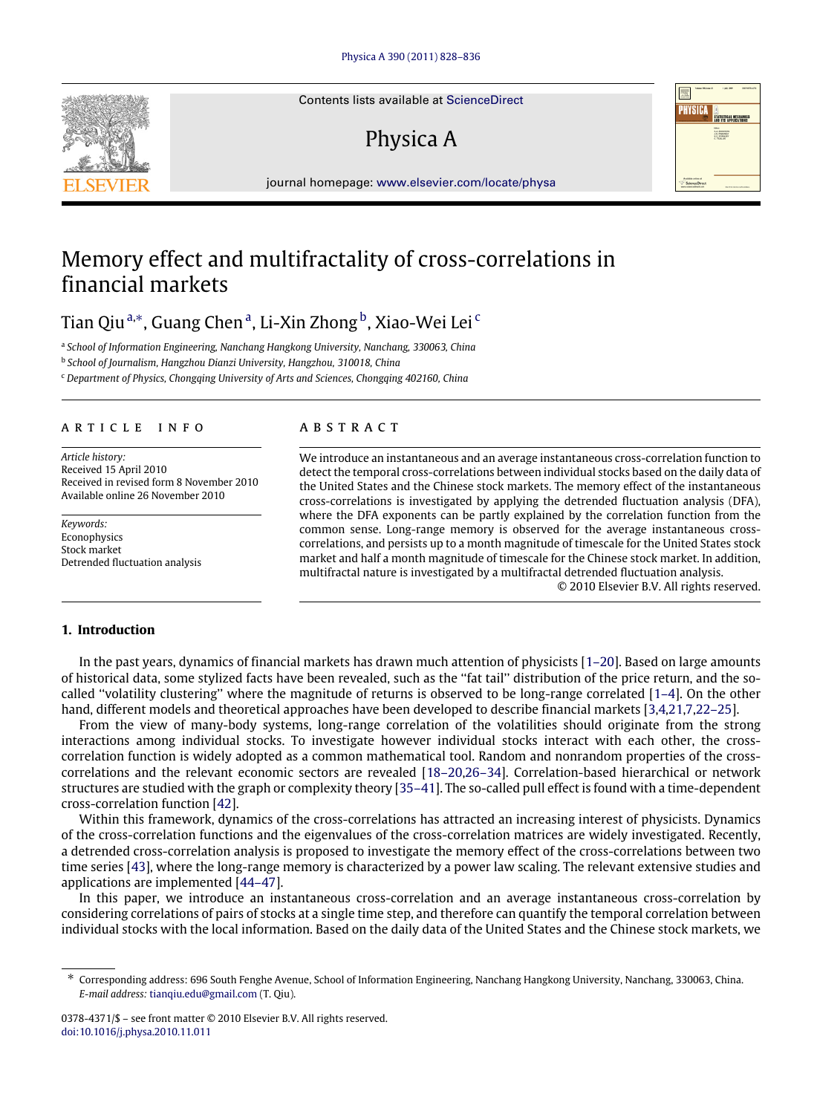Contents lists available at [ScienceDirect](http://www.elsevier.com/locate/physa)

## Physica A

journal homepage: [www.elsevier.com/locate/physa](http://www.elsevier.com/locate/physa)

## Memory effect and multifractality of cross-correlations in financial markets

## Tian Qiu <sup>[a,](#page-0-0)[∗](#page-0-1)</sup>, Gu[a](#page-0-0)ng Chen <sup>a</sup>, Li-Xin Zhong <sup>[b](#page-0-2)</sup>, Xiao-Wei Lei <sup>[c](#page-0-3)</sup>

<span id="page-0-0"></span>a *School of Information Engineering, Nanchang Hangkong University, Nanchang, 330063, China*

<span id="page-0-2"></span>b *School of Journalism, Hangzhou Dianzi University, Hangzhou, 310018, China*

<span id="page-0-3"></span><sup>c</sup> *Department of Physics, Chongqing University of Arts and Sciences, Chongqing 402160, China*

### ARTICLE INFO

*Article history:* Received 15 April 2010 Received in revised form 8 November 2010 Available online 26 November 2010

*Keywords:* **Econophysics** Stock market Detrended fluctuation analysis

## a b s t r a c t

We introduce an instantaneous and an average instantaneous cross-correlation function to detect the temporal cross-correlations between individual stocks based on the daily data of the United States and the Chinese stock markets. The memory effect of the instantaneous cross-correlations is investigated by applying the detrended fluctuation analysis (DFA), where the DFA exponents can be partly explained by the correlation function from the common sense. Long-range memory is observed for the average instantaneous crosscorrelations, and persists up to a month magnitude of timescale for the United States stock market and half a month magnitude of timescale for the Chinese stock market. In addition, multifractal nature is investigated by a multifractal detrended fluctuation analysis.

© 2010 Elsevier B.V. All rights reserved.

### **1. Introduction**

In the past years, dynamics of financial markets has drawn much attention of physicists [\[1–20\]](#page--1-0). Based on large amounts of historical data, some stylized facts have been revealed, such as the ''fat tail'' distribution of the price return, and the socalled ''volatility clustering'' where the magnitude of returns is observed to be long-range correlated [\[1–4\]](#page--1-0). On the other hand, different models and theoretical approaches have been developed to describe financial markets [\[3,](#page--1-1)[4,](#page--1-2)[21](#page--1-3)[,7,](#page--1-4)[22–25\]](#page--1-5).

From the view of many-body systems, long-range correlation of the volatilities should originate from the strong interactions among individual stocks. To investigate however individual stocks interact with each other, the crosscorrelation function is widely adopted as a common mathematical tool. Random and nonrandom properties of the crosscorrelations and the relevant economic sectors are revealed [\[18–20](#page--1-6)[,26–34\]](#page--1-7). Correlation-based hierarchical or network structures are studied with the graph or complexity theory [\[35–41\]](#page--1-8). The so-called pull effect is found with a time-dependent cross-correlation function [\[42\]](#page--1-9).

Within this framework, dynamics of the cross-correlations has attracted an increasing interest of physicists. Dynamics of the cross-correlation functions and the eigenvalues of the cross-correlation matrices are widely investigated. Recently, a detrended cross-correlation analysis is proposed to investigate the memory effect of the cross-correlations between two time series [\[43\]](#page--1-10), where the long-range memory is characterized by a power law scaling. The relevant extensive studies and applications are implemented [\[44–47\]](#page--1-11).

In this paper, we introduce an instantaneous cross-correlation and an average instantaneous cross-correlation by considering correlations of pairs of stocks at a single time step, and therefore can quantify the temporal correlation between individual stocks with the local information. Based on the daily data of the United States and the Chinese stock markets, we





<span id="page-0-1"></span><sup>∗</sup> Corresponding address: 696 South Fenghe Avenue, School of Information Engineering, Nanchang Hangkong University, Nanchang, 330063, China. *E-mail address:* [tianqiu.edu@gmail.com](mailto:tianqiu.edu@gmail.com) (T. Qiu).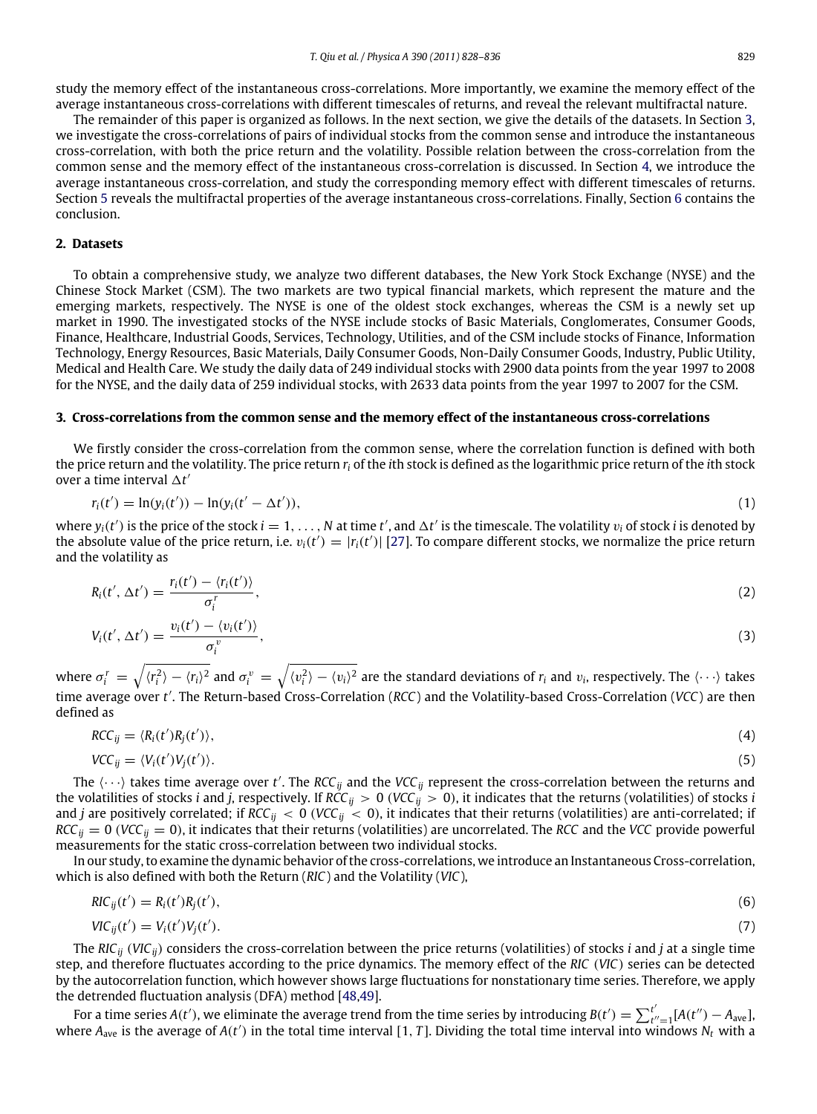study the memory effect of the instantaneous cross-correlations. More importantly, we examine the memory effect of the average instantaneous cross-correlations with different timescales of returns, and reveal the relevant multifractal nature.

The remainder of this paper is organized as follows. In the next section, we give the details of the datasets. In Section [3,](#page-1-0) we investigate the cross-correlations of pairs of individual stocks from the common sense and introduce the instantaneous cross-correlation, with both the price return and the volatility. Possible relation between the cross-correlation from the common sense and the memory effect of the instantaneous cross-correlation is discussed. In Section [4,](#page--1-12) we introduce the average instantaneous cross-correlation, and study the corresponding memory effect with different timescales of returns. Section [5](#page--1-13) reveals the multifractal properties of the average instantaneous cross-correlations. Finally, Section [6](#page--1-14) contains the conclusion.

#### **2. Datasets**

To obtain a comprehensive study, we analyze two different databases, the New York Stock Exchange (NYSE) and the Chinese Stock Market (CSM). The two markets are two typical financial markets, which represent the mature and the emerging markets, respectively. The NYSE is one of the oldest stock exchanges, whereas the CSM is a newly set up market in 1990. The investigated stocks of the NYSE include stocks of Basic Materials, Conglomerates, Consumer Goods, Finance, Healthcare, Industrial Goods, Services, Technology, Utilities, and of the CSM include stocks of Finance, Information Technology, Energy Resources, Basic Materials, Daily Consumer Goods, Non-Daily Consumer Goods, Industry, Public Utility, Medical and Health Care. We study the daily data of 249 individual stocks with 2900 data points from the year 1997 to 2008 for the NYSE, and the daily data of 259 individual stocks, with 2633 data points from the year 1997 to 2007 for the CSM.

### <span id="page-1-0"></span>**3. Cross-correlations from the common sense and the memory effect of the instantaneous cross-correlations**

We firstly consider the cross-correlation from the common sense, where the correlation function is defined with both the price return and the volatility. The price return *r<sup>i</sup>* of the *i*th stock is defined as the logarithmic price return of the *i*th stock over a time interval  $\Delta t'$ 

$$
r_i(t') = \ln(y_i(t')) - \ln(y_i(t'-\Delta t')), \qquad (1)
$$

where  $y_i(t')$  is the price of the stock  $i = 1, \ldots, N$  at time  $t'$ , and  $\Delta t'$  is the timescale. The volatility  $v_i$  of stock *i* is denoted by the absolute value of the price return, i.e.  $v_i(t') = |r_i(t')|$  [\[27\]](#page--1-15). To compare different stocks, we normalize the price return and the volatility as

$$
R_i(t', \Delta t') = \frac{r_i(t') - \langle r_i(t') \rangle}{\sigma_i^r},\tag{2}
$$

$$
V_i(t', \Delta t') = \frac{v_i(t') - \langle v_i(t') \rangle}{\sigma_i^v},
$$
\n(3)

where  $\sigma_i^r = \sqrt{\langle r_i^2\rangle - \langle r_i\rangle^2}$  and  $\sigma_i^v = \sqrt{\langle v_i^2\rangle - \langle v_i\rangle^2}$  are the standard deviations of  $r_i$  and  $v_i$ , respectively. The  $\langle\cdots\rangle$  takes time average over *t* ′ . The Return-based Cross-Correlation (*RCC*) and the Volatility-based Cross-Correlation (*VCC*) are then defined as

$$
RCC_{ij} = \langle R_i(t')R_j(t')\rangle, \tag{4}
$$

$$
VCC_{ij} = \langle V_i(t')V_j(t')\rangle.
$$
 (5)

The  $\langle \cdots \rangle$  takes time average over t'. The RCC<sub>ij</sub> and the VCC<sub>ij</sub> represent the cross-correlation between the returns and the volatilities of stocks *i* and *j*, respectively. If *RCC*<sub>*ij*</sub> > 0 (*VCC*<sub>*ij*</sub> > 0), it indicates that the returns (volatilities) of stocks *i* and *j* are positively correlated; if  $RCC_{ij} < 0$  ( $VCC_{ij} < 0$ ), it indicates that their returns (volatilities) are anti-correlated; if  $RCC_{ij} = 0$  (*VCC*<sub>*ij*</sub> = 0), it indicates that their returns (volatilities) are uncorrelated. The *RCC* and the *VCC* provide powerful measurements for the static cross-correlation between two individual stocks.

In our study, to examine the dynamic behavior of the cross-correlations, we introduce an Instantaneous Cross-correlation, which is also defined with both the Return (*RIC*) and the Volatility (*VIC*),

$$
RIC_{ij}(t') = R_i(t')R_j(t'),
$$
\n(6)

$$
VIC_{ij}(t') = V_i(t')V_j(t').
$$
\n
$$
(7)
$$

The *RICij* (*VICij*) considers the cross-correlation between the price returns (volatilities) of stocks *i* and *j* at a single time step, and therefore fluctuates according to the price dynamics. The memory effect of the *RIC* (*VIC*) series can be detected by the autocorrelation function, which however shows large fluctuations for nonstationary time series. Therefore, we apply the detrended fluctuation analysis (DFA) method [\[48,](#page--1-16)[49\]](#page--1-17).

For a time series  $A(t')$ , we eliminate the average trend from the time series by introducing  $B(t') = \sum_{t'}^{t'}$  $t'_{t''=1}[A(t'') - A_{ave}],$ where  $A_{ave}$  is the average of  $A(t')$  in the total time interval [1, *T*]. Dividing the total time interval into windows  $N_t$  with a